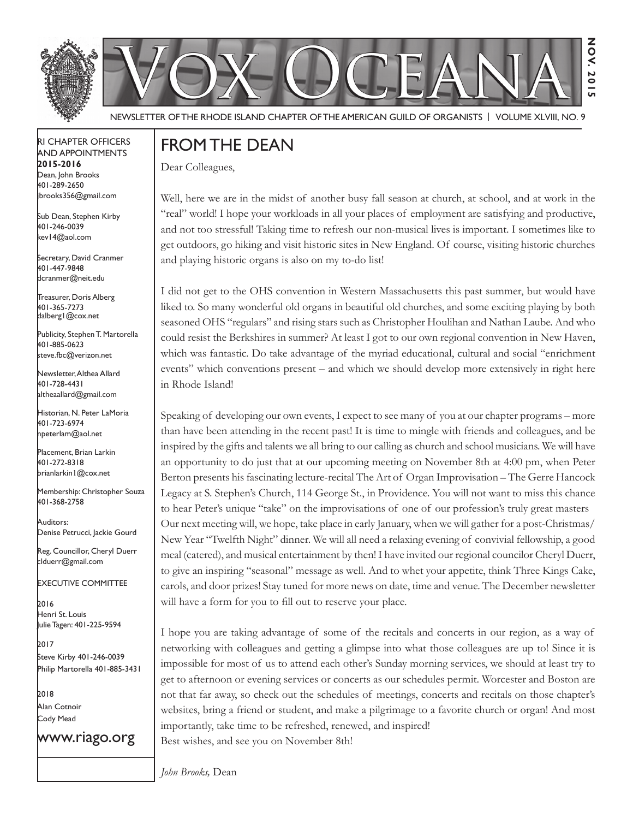



Newsletter of the Rhode Island Chapter of the American Guild of OrganistS | Volume XLVIII, No. 9

#### RI Chapter Officers and Appointments **2015-2016** Dean, John Brooks 401-289-2650

Sub Dean, Stephen Kirby 401-246-0039 kev14@aol.com

jbrooks356@gmail.com

Secretary, David Cranmer 401-447-9848 dcranmer@neit.edu

Treasurer, Doris Alberg 401-365-7273 dalberg1@cox.net

I Publicity, Stephen T. Martorella 401-885-0623 steve.fbc@verizon.net

Newsletter, Althea Allard 401-728-4431 altheaallard@gmail.com

Historian, N. Peter LaMoria 401-723-6974 npeterlam@aol.net

Placement, Brian Larkin 401-272-8318 brianlarkin1@cox.net

Membership: Christopher Souza 401-368-2758

Auditors: Denise Petrucci, Jackie Gourd

Reg. Councillor, Cheryl Duerr clduerr@gmail.com

Executive Committee

2016 Henri St. Louis Julie Tagen: 401-225-9594

2017 Steve Kirby 401-246-0039 Philip Martorella 401-885-3431

2018 Alan Cotnoir Cody Mead

www.riago.org

## FROM THE DEAN

Dear Colleagues,

Well, here we are in the midst of another busy fall season at church, at school, and at work in the "real" world! I hope your workloads in all your places of employment are satisfying and productive, and not too stressful! Taking time to refresh our non-musical lives is important. I sometimes like to get outdoors, go hiking and visit historic sites in New England. Of course, visiting historic churches and playing historic organs is also on my to-do list!

**Nov. 2015**

 $\overline{2}0$  $\frac{1}{2}$ 

NOV.

I did not get to the OHS convention in Western Massachusetts this past summer, but would have liked to. So many wonderful old organs in beautiful old churches, and some exciting playing by both seasoned OHS "regulars" and rising stars such as Christopher Houlihan and Nathan Laube. And who could resist the Berkshires in summer? At least I got to our own regional convention in New Haven, which was fantastic. Do take advantage of the myriad educational, cultural and social "enrichment events" which conventions present – and which we should develop more extensively in right here in Rhode Island!

Speaking of developing our own events, I expect to see many of you at our chapter programs – more than have been attending in the recent past! It is time to mingle with friends and colleagues, and be inspired by the gifts and talents we all bring to our calling as church and school musicians. We will have an opportunity to do just that at our upcoming meeting on November 8th at 4:00 pm, when Peter Berton presents his fascinating lecture-recital The Art of Organ Improvisation – The Gerre Hancock Legacy at S. Stephen's Church, 114 George St., in Providence. You will not want to miss this chance to hear Peter's unique "take" on the improvisations of one of our profession's truly great masters Our next meeting will, we hope, take place in early January, when we will gather for a post-Christmas/ New Year "Twelfth Night" dinner. We will all need a relaxing evening of convivial fellowship, a good meal (catered), and musical entertainment by then! I have invited our regional councilor Cheryl Duerr, to give an inspiring "seasonal" message as well. And to whet your appetite, think Three Kings Cake, carols, and door prizes! Stay tuned for more news on date, time and venue. The December newsletter will have a form for you to fill out to reserve your place.

I hope you are taking advantage of some of the recitals and concerts in our region, as a way of networking with colleagues and getting a glimpse into what those colleagues are up to! Since it is impossible for most of us to attend each other's Sunday morning services, we should at least try to get to afternoon or evening services or concerts as our schedules permit. Worcester and Boston are not that far away, so check out the schedules of meetings, concerts and recitals on those chapter's websites, bring a friend or student, and make a pilgrimage to a favorite church or organ! And most importantly, take time to be refreshed, renewed, and inspired! Best wishes, and see you on November 8th!

*John Brooks,* Dean